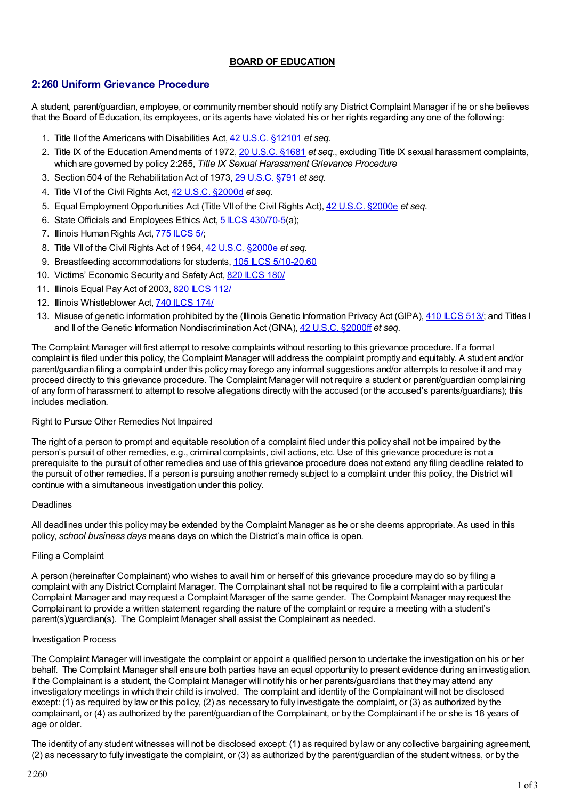## **BOARD OF EDUCATION**

# **2:260 Uniform Grievance Procedure**

A student, parent/guardian, employee, or community member should notify any District Complaint Manager if he or she believes that the Board of Education, its employees, or its agents have violated his or her rights regarding any one of the following:

- 1. Title II of the Americans with Disabilities Act, 42 U.S.C. [§12101](http://redirector.microscribepub.com/?cat=usc&loc=us&id=42-12101&) *et seq*.
- 2. Title IX of the Education Amendments of 1972, 20 [U.S.C.](http://redirector.microscribepub.com/?cat=usc&loc=us&id=20-1681&) §1681 *et seq*., excluding Title IX sexual harassment complaints, which are governed by policy 2:265, *Title IX Sexual Harassment Grievance Procedure*
- 3. Section 504 of the Rehabilitation Act of 1973, 29 [U.S.C.](http://redirector.microscribepub.com/?cat=usc&loc=us&id=29-791&) §791 *et seq*.
- 4. Title VI of the Civil Rights Act, 42 U.S.C. [§2000d](http://redirector.microscribepub.com/?cat=usc&loc=us&id=42-2000d&) *et seq*.
- 5. Equal Employment Opportunities Act (Title VII of the Civil Rights Act), 42 U.S.C. [§2000e](http://redirector.microscribepub.com/?cat=usc&loc=us&id=42-2000e&) *et seq.*
- 6. State Officials and Employees Ethics Act, 5 LCS [430/70-5\(](http://redirector.microscribepub.com/?cat=stat&loc=il&id=5&spec=430-70)a);
- 7. Illinois Human Rights Act, 775 [ILCS](http://redirector.microscribepub.com/?cat=stat&loc=il&id=775&spec=5) 5/;
- 8. Title VII of the Civil Rights Act of 1964, 42 U.S.C. [§2000e](http://redirector.microscribepub.com/?cat=usc&loc=us&id=42-2000e&) *et seq*.
- 9. Breastfeeding accommodations for students, 105 ILCS [5/10-20.60](http://redirector.microscribepub.com/?cat=stat&loc=il&id=105&spec=5-10)
- 10. Victims' Economic Security and Safety Act, 820 [ILCS](http://redirector.microscribepub.com/?cat=stat&loc=il&id=820&spec=180) 180/
- 11. Illinois Equal Pay Act of 2003, 820 [ILCS](http://redirector.microscribepub.com/?cat=stat&loc=il&id=820&spec=112) 112/
- 12. Illinois Whistleblower Act, 740 [ILCS](http://redirector.microscribepub.com/?cat=stat&loc=il&id=740&spec=174) 174/
- 13. Misuse of genetic information prohibited by the (Illinois Genetic Information Privacy Act (GIPA), 410 LCS 513/; and Titles I and II of the Genetic Information Nondiscrimination Act (GINA), 42 U.S.C. [§2000ff](http://redirector.microscribepub.com/?cat=usc&loc=us&id=42-2000ff&) *et seq.*

The Complaint Manager will first attempt to resolve complaints without resorting to this grievance procedure. If a formal complaint is filed under this policy, the Complaint Manager will address the complaint promptly and equitably. A student and/or parent/guardian filing a complaint under this policy may forego any informal suggestions and/or attempts to resolve it and may proceed directly to this grievance procedure. The Complaint Manager will not require a student or parent/guardian complaining of any form of harassment to attempt to resolve allegations directly with the accused (or the accused's parents/guardians); this includes mediation.

#### Right to Pursue Other Remedies Not Impaired

The right of a person to prompt and equitable resolution of a complaint filed under this policy shall not be impaired by the person's pursuit of other remedies, e.g., criminal complaints, civil actions, etc. Use of this grievance procedure is not a prerequisite to the pursuit of other remedies and use of this grievance procedure does not extend any filing deadline related to the pursuit of other remedies. If a person is pursuing another remedy subject to a complaint under this policy, the District will continue with a simultaneous investigation under this policy.

#### Deadlines

All deadlines under this policy may be extended by the Complaint Manager as he or she deems appropriate. As used in this policy, *school business days* means days on which the District's main office is open.

#### Filing a Complaint

A person (hereinafter Complainant) who wishes to avail him or herself of this grievance procedure may do so by filing a complaint with any District Complaint Manager. The Complainant shall not be required to file a complaint with a particular Complaint Manager and may request a Complaint Manager of the same gender. The Complaint Manager may request the Complainant to provide a written statement regarding the nature of the complaint or require a meeting with a student's parent(s)/guardian(s). The Complaint Manager shall assist the Complainant as needed.

#### Investigation Process

The Complaint Manager will investigate the complaint or appoint a qualified person to undertake the investigation on his or her behalf. The Complaint Manager shall ensure both parties have an equal opportunity to present evidence during an investigation. If the Complainant is a student, the Complaint Manager will notify his or her parents/guardians that they may attend any investigatory meetings in which their child is involved. The complaint and identity of the Complainant will not be disclosed except: (1) as required by law or this policy, (2) as necessary to fully investigate the complaint, or (3) as authorized by the complainant, or (4) as authorized by the parent/guardian of the Complainant, or by the Complainant if he or she is 18 years of age or older.

The identity of any student witnesses will not be disclosed except: (1) as required by law or any collective bargaining agreement, (2) as necessary to fully investigate the complaint, or (3) as authorized by the parent/guardian of the student witness, or by the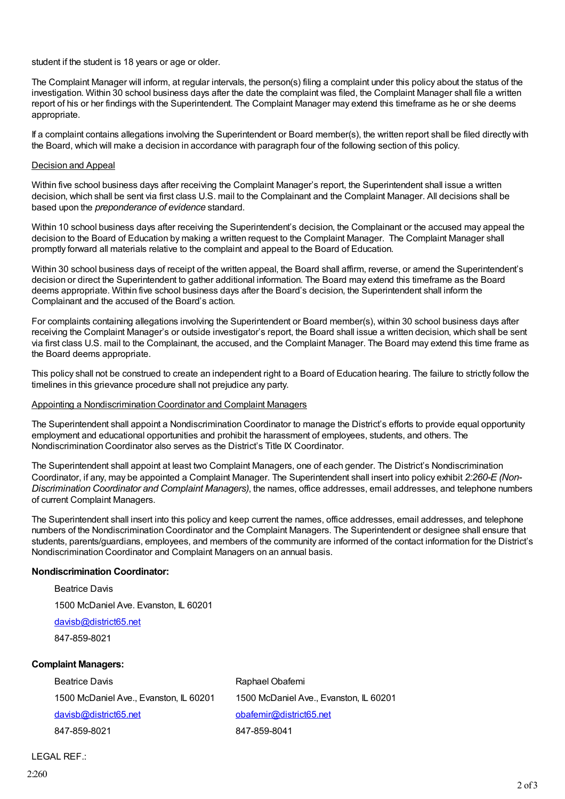student if the student is 18 years or age or older.

The Complaint Manager will inform, at regular intervals, the person(s) filing a complaint under this policy about the status of the investigation. Within 30 school business days after the date the complaint was filed, the Complaint Manager shall file a written report of his or her findings with the Superintendent. The Complaint Manager may extend this timeframe as he or she deems appropriate.

If a complaint contains allegations involving the Superintendent or Board member(s), the written report shall be filed directly with the Board, which will make a decision in accordance with paragraph four of the following section of this policy.

#### Decision and Appeal

Within five school business days after receiving the Complaint Manager's report, the Superintendent shall issue a written decision, which shall be sent via first class U.S. mail to the Complainant and the Complaint Manager. All decisions shall be based upon the *preponderance of evidence* standard.

Within 10 school business days after receiving the Superintendent's decision, the Complainant or the accused may appeal the decision to the Board of Education by making a written request to the Complaint Manager. The Complaint Manager shall promptly forward all materials relative to the complaint and appeal to the Board of Education.

Within 30 school business days of receipt of the written appeal, the Board shall affirm, reverse, or amend the Superintendent's decision or direct the Superintendent to gather additional information. The Board may extend this timeframe as the Board deems appropriate. Within five school business days after the Board's decision, the Superintendent shall inform the Complainant and the accused of the Board's action.

For complaints containing allegations involving the Superintendent or Board member(s), within 30 school business days after receiving the Complaint Manager's or outside investigator's report, the Board shall issue a written decision, which shall be sent via first class U.S. mail to the Complainant, the accused, and the Complaint Manager. The Board may extend this time frame as the Board deems appropriate.

This policy shall not be construed to create an independent right to a Board of Education hearing. The failure to strictly follow the timelines in this grievance procedure shall not prejudice any party.

#### Appointing a Nondiscrimination Coordinator and Complaint Managers

The Superintendent shall appoint a Nondiscrimination Coordinator to manage the District's efforts to provide equal opportunity employment and educational opportunities and prohibit the harassment of employees, students, and others. The Nondiscrimination Coordinator also serves as the District's Title IX Coordinator.

The Superintendent shall appoint at least two Complaint Managers, one of each gender. The District's Nondiscrimination Coordinator, if any, may be appointed a Complaint Manager. The Superintendent shall insert into policy exhibit *2:260-E (Non-Discrimination Coordinator and Complaint Managers)*, the names, office addresses, email addresses, and telephone numbers of current Complaint Managers.

The Superintendent shall insert into this policy and keep current the names, office addresses, email addresses, and telephone numbers of the Nondiscrimination Coordinator and the Complaint Managers. The Superintendent or designee shall ensure that students, parents/guardians, employees, and members of the community are informed of the contact information for the District's Nondiscrimination Coordinator and Complaint Managers on an annual basis.

#### **Nondiscrimination Coordinator:**

Beatrice Davis

1500 McDaniel Ave. Evanston, IL 60201

[davisb@district65.net](mailto:davisb@district65.net)

847-859-8021

#### **Complaint Managers:**

Beatrice Davis **Raphael Obafemi** 1500 McDaniel Ave., Evanston, IL 60201 1500 McDaniel Ave., Evanston, IL 60201 [davisb@district65.net](mailto:davisb@district65.net) davisbate [obafemir@district65.net](mailto:obafemir@district65.net) 847-859-8021 847-859-8041

#### LEGAL REF.: